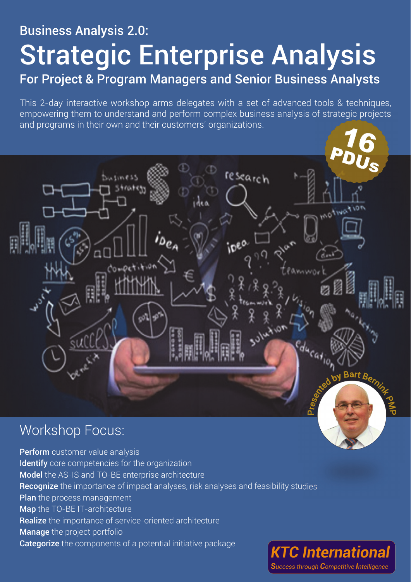# Business Analysis 2.0: Strategic Enterprise Analysis For Project & Program Managers and Senior Business Analysts

This 2-day interactive workshop arms delegates with a set of advanced tools & techniques, empowering them to understand and perform complex business analysis of strategic projects and programs in their own and their customers' organizations.

# esearch  $m$ es *Thursday*

# Workshop Focus:

Perform customer value analysis Identify core competencies for the organization Model the AS-IS and TO-BE enterprise architecture Recognize the importance of impact analyses, risk analyses and feasibility studies Plan the process management Map the TO-BE IT-architecture Realize the importance of service-oriented architecture Manage the project portfolio Categorize the components of a potential initiative package **KTC International** 

Success through Competitive Intelligence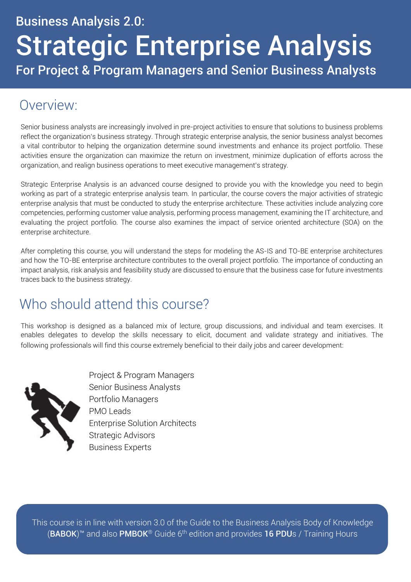# Business Analysis 2.0: Strategic Enterprise Analysis For Project & Program Managers and Senior Business Analysts

# Overview:

Senior business analysts are increasingly involved in pre-project activities to ensure that solutions to business problems reflect the organization's business strategy. Through strategic enterprise analysis, the senior business analyst becomes a vital contributor to helping the organization determine sound investments and enhance its project portfolio. These activities ensure the organization can maximize the return on investment, minimize duplication of efforts across the organization, and realign business operations to meet executive management's strategy.

Strategic Enterprise Analysis is an advanced course designed to provide you with the knowledge you need to begin working as part of a strategic enterprise analysis team. In particular, the course covers the major activities of strategic enterprise analysis that must be conducted to study the enterprise architecture. These activities include analyzing core competencies, performing customer value analysis, performing process management, examining the IT architecture, and evaluating the project portfolio. The course also examines the impact of service oriented architecture (SOA) on the enterprise architecture.

After completing this course, you will understand the steps for modeling the AS-IS and TO-BE enterprise architectures and how the TO-BE enterprise architecture contributes to the overall project portfolio. The importance of conducting an impact analysis, risk analysis and feasibility study are discussed to ensure that the business case for future investments traces back to the business strategy.

# Who should attend this course?

This workshop is designed as a balanced mix of lecture, group discussions, and individual and team exercises. It enables delegates to develop the skills necessary to elicit, document and validate strategy and initiatives. The following professionals will find this course extremely beneficial to their daily jobs and career development:



Project & Program Managers Senior Business Analysts Portfolio Managers PMO Leads Enterprise Solution Architects Strategic Advisors Business Experts

This course is in line with version 3.0 of the Guide to the Business Analysis Body of Knowledge (BABOK)™ and also PMBOK® Guide 6<sup>th</sup> edition and provides 16 PDUs / Training Hours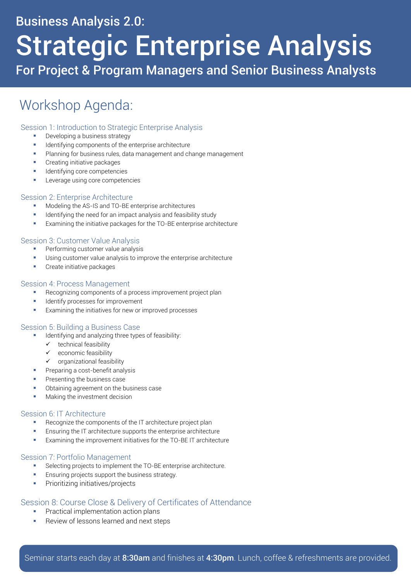### Business Analysis 2.0:

# Strategic Enterprise Analysis

For Project & Program Managers and Senior Business Analysts

## Workshop Agenda:

#### Session 1: Introduction to Strategic Enterprise Analysis

- Developing a business strategy
- Identifying components of the enterprise architecture
- Planning for business rules, data management and change management
- Creating initiative packages
- Identifying core competencies
- Leverage using core competencies

#### Session 2: Enterprise Architecture

- Modeling the AS-IS and TO-BE enterprise architectures
- Identifying the need for an impact analysis and feasibility study
- Examining the initiative packages for the TO-BE enterprise architecture

#### Session 3: Customer Value Analysis

- **Performing customer value analysis**
- Using customer value analysis to improve the enterprise architecture
- Create initiative packages

#### Session 4: Process Management

- Recognizing components of a process improvement project plan
- **IDENTIFY PROCESSES for improvement**
- Examining the initiatives for new or improved processes

#### Session 5: Building a Business Case

- **IDENTIFY** Identifying and analyzing three types of feasibility:
	- $\checkmark$  technical feasibility
	- $\checkmark$  economic feasibility
	- $\checkmark$  organizational feasibility
- **Preparing a cost-benefit analysis**
- Presenting the business case
- Obtaining agreement on the business case
- Making the investment decision

#### Session 6: IT Architecture

- Recognize the components of the IT architecture project plan
- Ensuring the IT architecture supports the enterprise architecture
- **Examining the improvement initiatives for the TO-BE IT architecture**

#### Session 7: Portfolio Management

- Selecting projects to implement the TO-BE enterprise architecture.
- Ensuring projects support the business strategy.
- Prioritizing initiatives/projects

#### Session 8: Course Close & Delivery of Certificates of Attendance

- Practical implementation action plans
- Review of lessons learned and next steps